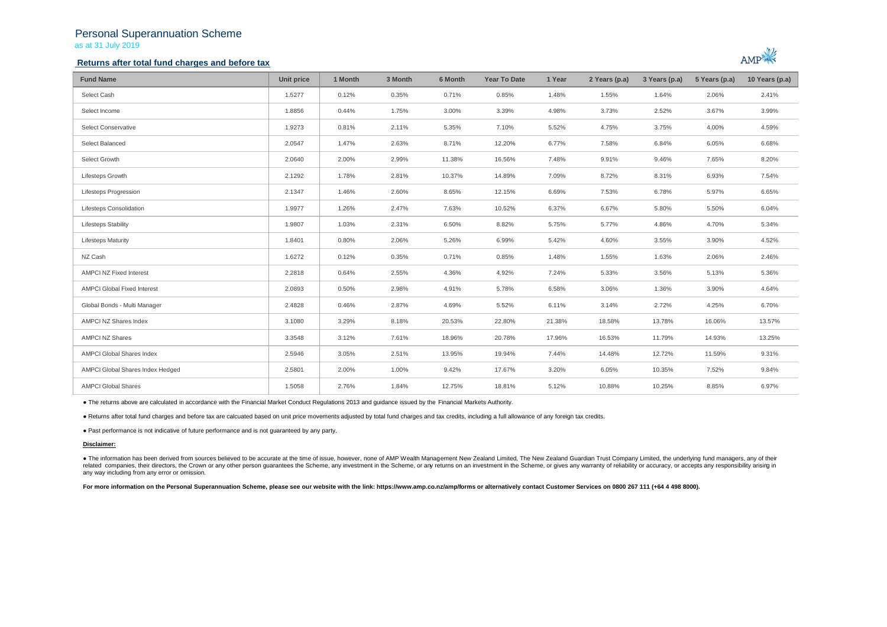## Personal Superannuation Scheme as at 31 July 2019

## **Returns after total fund charges and before tax**



| <b>Fund Name</b>                   | Unit price | 1 Month | 3 Month | 6 Month | <b>Year To Date</b> | 1 Year | 2 Years (p.a) | 3 Years (p.a) | 5 Years (p.a) | 10 Years (p.a) |
|------------------------------------|------------|---------|---------|---------|---------------------|--------|---------------|---------------|---------------|----------------|
| Select Cash                        | 1.5277     | 0.12%   | 0.35%   | 0.71%   | 0.85%               | 1.48%  | 1.55%         | 1.64%         | 2.06%         | 2.41%          |
| Select Income                      | 1.8856     | 0.44%   | 1.75%   | 3.00%   | 3.39%               | 4.98%  | 3.73%         | 2.52%         | 3.67%         | 3.99%          |
| Select Conservative                | 1.9273     | 0.81%   | 2.11%   | 5.35%   | 7.10%               | 5.52%  | 4.75%         | 3.75%         | 4.00%         | 4.59%          |
| Select Balanced                    | 2.0547     | 1.47%   | 2.63%   | 8.71%   | 12.20%              | 6.77%  | 7.58%         | 6.84%         | 6.05%         | 6.68%          |
| Select Growth                      | 2.0640     | 2.00%   | 2.99%   | 11.38%  | 16.56%              | 7.48%  | 9.91%         | 9.46%         | 7.65%         | 8.20%          |
| Lifesteps Growth                   | 2.1292     | 1.78%   | 2.81%   | 10.37%  | 14.89%              | 7.09%  | 8.72%         | 8.31%         | 6.93%         | 7.54%          |
| Lifesteps Progression              | 2.1347     | 1.46%   | 2.60%   | 8.65%   | 12.15%              | 6.69%  | 7.53%         | 6.78%         | 5.97%         | 6.65%          |
| Lifesteps Consolidation            | 1.9977     | 1.26%   | 2.47%   | 7.63%   | 10.52%              | 6.37%  | 6.67%         | 5.80%         | 5.50%         | 6.04%          |
| <b>Lifesteps Stability</b>         | 1.9807     | 1.03%   | 2.31%   | 6.50%   | 8.82%               | 5.75%  | 5.77%         | 4.86%         | 4.70%         | 5.34%          |
| <b>Lifesteps Maturity</b>          | 1.8401     | 0.80%   | 2.06%   | 5.26%   | 6.99%               | 5.42%  | 4.60%         | 3.55%         | 3.90%         | 4.52%          |
| NZ Cash                            | 1.6272     | 0.12%   | 0.35%   | 0.71%   | 0.85%               | 1.48%  | 1.55%         | 1.63%         | 2.06%         | 2.46%          |
| AMPCI NZ Fixed Interest            | 2.2818     | 0.64%   | 2.55%   | 4.36%   | 4.92%               | 7.24%  | 5.33%         | 3.56%         | 5.13%         | 5.36%          |
| <b>AMPCI Global Fixed Interest</b> | 2.0893     | 0.50%   | 2.98%   | 4.91%   | 5.78%               | 6.58%  | 3.06%         | 1.36%         | 3.90%         | 4.64%          |
| Global Bonds - Multi Manager       | 2.4828     | 0.46%   | 2.87%   | 4.69%   | 5.52%               | 6.11%  | 3.14%         | 2.72%         | 4.25%         | 6.70%          |
| AMPCI NZ Shares Index              | 3.1080     | 3.29%   | 8.18%   | 20.53%  | 22.80%              | 21.38% | 18.58%        | 13.78%        | 16.06%        | 13.57%         |
| <b>AMPCI NZ Shares</b>             | 3.3548     | 3.12%   | 7.61%   | 18.96%  | 20.78%              | 17.96% | 16.53%        | 11.79%        | 14.93%        | 13.25%         |
| AMPCI Global Shares Index          | 2.5946     | 3.05%   | 2.51%   | 13.95%  | 19.94%              | 7.44%  | 14.48%        | 12.72%        | 11.59%        | 9.31%          |
| AMPCI Global Shares Index Hedged   | 2.5801     | 2.00%   | 1.00%   | 9.42%   | 17.67%              | 3.20%  | 6.05%         | 10.35%        | 7.52%         | 9.84%          |
| <b>AMPCI Global Shares</b>         | 1.5058     | 2.76%   | 1.84%   | 12.75%  | 18.81%              | 5.12%  | 10.88%        | 10.25%        | 8.85%         | 6.97%          |

● The returns above are calculated in accordance with the Financial Market Conduct Regulations 2013 and guidance issued by the Financial Markets Authority.

● Returns after total fund charges and before tax are calcuated based on unit price movements adjusted by total fund charges and tax credits, including a full allowance of any foreign tax credits.

● Past performance is not indicative of future performance and is not guaranteed by any party.

#### **Disclaimer:**

● The information has been derived from sources believed to be accurate at the time of issue, however, none of AMP Wealth Management New Zealand Limited, The New Zealand Guardian Trust Company Limited, the underlying fund any way including from any error or omission.

For more information on the Personal Superannuation Scheme, please see our website with the link: https://www.amp.co.nz/amp/forms or alternatively contact Customer Services on 0800 267 111 (+64 4 498 8000).